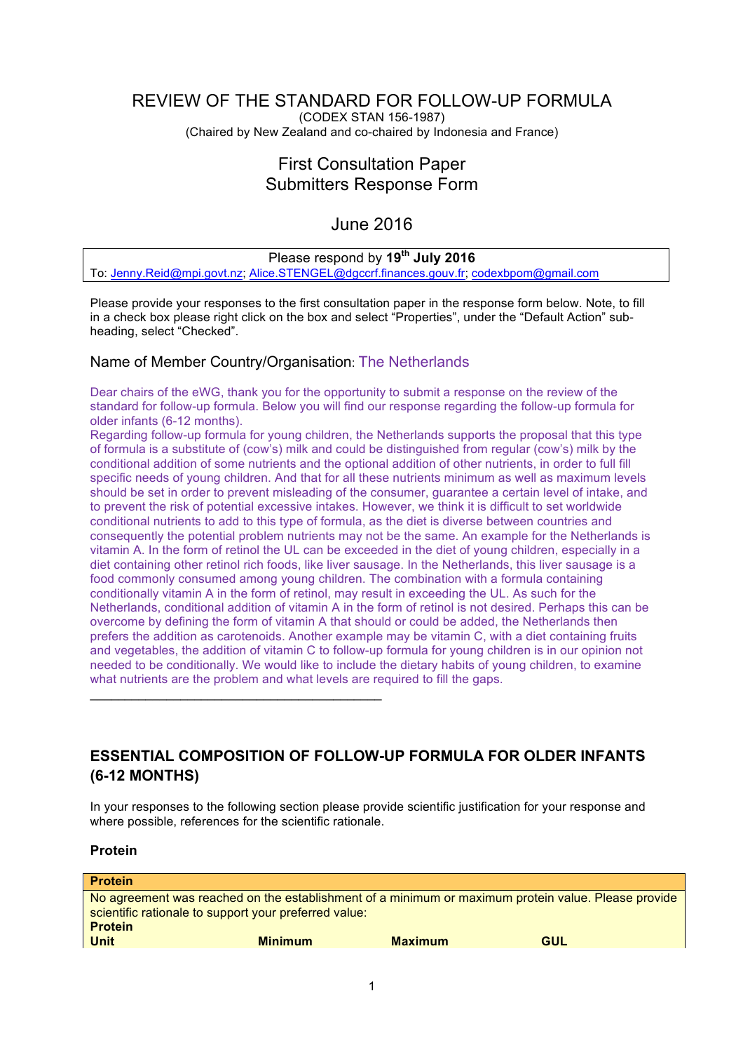# REVIEW OF THE STANDARD FOR FOLLOW-UP FORMULA

(CODEX STAN 156-1987) (Chaired by New Zealand and co-chaired by Indonesia and France)

## First Consultation Paper Submitters Response Form

### June 2016

### Please respond by **19th July 2016**

To: Jenny.Reid@mpi.govt.nz; Alice.STENGEL@dgccrf.finances.gouv.fr; codexbpom@gmail.com

Please provide your responses to the first consultation paper in the response form below. Note, to fill in a check box please right click on the box and select "Properties", under the "Default Action" subheading, select "Checked".

#### Name of Member Country/Organisation: The Netherlands

 $\_$  . The contract of the contract of the contract of the contract of the contract of the contract of the contract of the contract of the contract of the contract of the contract of the contract of the contract of the con

Dear chairs of the eWG, thank you for the opportunity to submit a response on the review of the standard for follow-up formula. Below you will find our response regarding the follow-up formula for older infants (6-12 months).

Regarding follow-up formula for young children, the Netherlands supports the proposal that this type of formula is a substitute of (cow's) milk and could be distinguished from regular (cow's) milk by the conditional addition of some nutrients and the optional addition of other nutrients, in order to full fill specific needs of young children. And that for all these nutrients minimum as well as maximum levels should be set in order to prevent misleading of the consumer, guarantee a certain level of intake, and to prevent the risk of potential excessive intakes. However, we think it is difficult to set worldwide conditional nutrients to add to this type of formula, as the diet is diverse between countries and consequently the potential problem nutrients may not be the same. An example for the Netherlands is vitamin A. In the form of retinol the UL can be exceeded in the diet of young children, especially in a diet containing other retinol rich foods, like liver sausage. In the Netherlands, this liver sausage is a food commonly consumed among young children. The combination with a formula containing conditionally vitamin A in the form of retinol, may result in exceeding the UL. As such for the Netherlands, conditional addition of vitamin A in the form of retinol is not desired. Perhaps this can be overcome by defining the form of vitamin A that should or could be added, the Netherlands then prefers the addition as carotenoids. Another example may be vitamin C, with a diet containing fruits and vegetables, the addition of vitamin C to follow-up formula for young children is in our opinion not needed to be conditionally. We would like to include the dietary habits of young children, to examine what nutrients are the problem and what levels are required to fill the gaps.

### **ESSENTIAL COMPOSITION OF FOLLOW-UP FORMULA FOR OLDER INFANTS (6-12 MONTHS)**

In your responses to the following section please provide scientific justification for your response and where possible, references for the scientific rationale.

#### **Protein**

| <b>Protein</b>                                                                                      |                |                |     |  |
|-----------------------------------------------------------------------------------------------------|----------------|----------------|-----|--|
| No agreement was reached on the establishment of a minimum or maximum protein value. Please provide |                |                |     |  |
| scientific rationale to support your preferred value:                                               |                |                |     |  |
| <b>Protein</b>                                                                                      |                |                |     |  |
| <b>Unit</b>                                                                                         | <b>Minimum</b> | <b>Maximum</b> | GUL |  |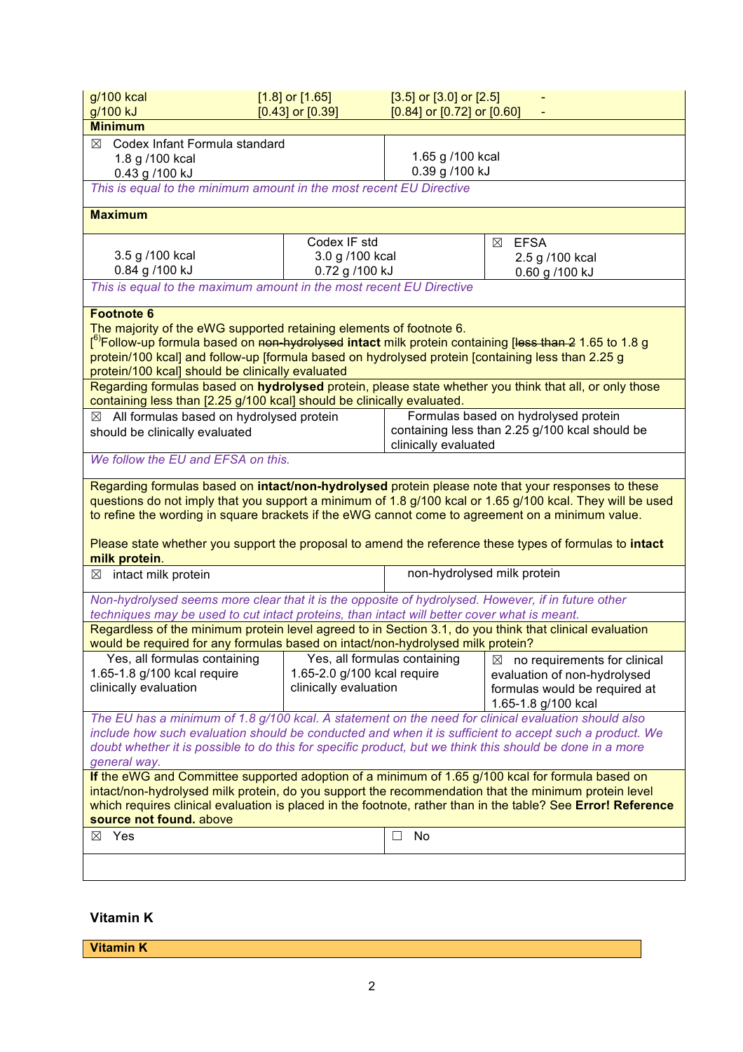| g/100 kcal<br>g/100 kJ                                                                                                                                                                                                                                                                                                                                                                                                                                                                                                                                         | $[1.8]$ or $[1.65]$<br>$[0.43]$ or $[0.39]$                                                        | $[3.5]$ or $[3.0]$ or $[2.5]$<br>$[0.84]$ or $[0.72]$ or $[0.60]$      |                                                      |  |  |
|----------------------------------------------------------------------------------------------------------------------------------------------------------------------------------------------------------------------------------------------------------------------------------------------------------------------------------------------------------------------------------------------------------------------------------------------------------------------------------------------------------------------------------------------------------------|----------------------------------------------------------------------------------------------------|------------------------------------------------------------------------|------------------------------------------------------|--|--|
| <b>Minimum</b>                                                                                                                                                                                                                                                                                                                                                                                                                                                                                                                                                 |                                                                                                    |                                                                        |                                                      |  |  |
| $\boxtimes$ Codex Infant Formula standard<br>1.8 g /100 kcal<br>0.43 g /100 kJ<br>This is equal to the minimum amount in the most recent EU Directive                                                                                                                                                                                                                                                                                                                                                                                                          |                                                                                                    | 1.65 g /100 kcal<br>0.39 g /100 kJ                                     |                                                      |  |  |
|                                                                                                                                                                                                                                                                                                                                                                                                                                                                                                                                                                |                                                                                                    |                                                                        |                                                      |  |  |
| <b>Maximum</b>                                                                                                                                                                                                                                                                                                                                                                                                                                                                                                                                                 |                                                                                                    |                                                                        |                                                      |  |  |
|                                                                                                                                                                                                                                                                                                                                                                                                                                                                                                                                                                | Codex IF std                                                                                       |                                                                        | <b>EFSA</b><br>⊠                                     |  |  |
| 3.5 g /100 kcal<br>0.84 g /100 kJ                                                                                                                                                                                                                                                                                                                                                                                                                                                                                                                              | 3.0 g /100 kcal<br>0.72 g /100 kJ                                                                  |                                                                        | 2.5 g /100 kcal                                      |  |  |
| This is equal to the maximum amount in the most recent EU Directive                                                                                                                                                                                                                                                                                                                                                                                                                                                                                            |                                                                                                    |                                                                        | 0.60 g /100 kJ                                       |  |  |
| <b>Footnote 6</b>                                                                                                                                                                                                                                                                                                                                                                                                                                                                                                                                              |                                                                                                    |                                                                        |                                                      |  |  |
| The majority of the eWG supported retaining elements of footnote 6.<br>f <sup>6)</sup> Follow-up formula based on <del>non-hydrolysed</del> intact milk protein containing [ <del>less than 2</del> 1.65 to 1.8 g<br>protein/100 kcal] and follow-up [formula based on hydrolysed protein [containing less than 2.25 g<br>protein/100 kcal] should be clinically evaluated<br>Regarding formulas based on hydrolysed protein, please state whether you think that all, or only those<br>containing less than [2.25 g/100 kcal] should be clinically evaluated. |                                                                                                    |                                                                        |                                                      |  |  |
| $\boxtimes$ All formulas based on hydrolysed protein                                                                                                                                                                                                                                                                                                                                                                                                                                                                                                           |                                                                                                    |                                                                        | Formulas based on hydrolysed protein                 |  |  |
| should be clinically evaluated                                                                                                                                                                                                                                                                                                                                                                                                                                                                                                                                 |                                                                                                    | containing less than 2.25 g/100 kcal should be<br>clinically evaluated |                                                      |  |  |
| We follow the EU and EFSA on this.                                                                                                                                                                                                                                                                                                                                                                                                                                                                                                                             |                                                                                                    |                                                                        |                                                      |  |  |
| Regarding formulas based on intact/non-hydrolysed protein please note that your responses to these<br>questions do not imply that you support a minimum of 1.8 g/100 kcal or 1.65 g/100 kcal. They will be used<br>to refine the wording in square brackets if the eWG cannot come to agreement on a minimum value.<br>Please state whether you support the proposal to amend the reference these types of formulas to intact<br>milk protein.                                                                                                                 |                                                                                                    |                                                                        |                                                      |  |  |
| $\boxtimes$ intact milk protein                                                                                                                                                                                                                                                                                                                                                                                                                                                                                                                                |                                                                                                    | non-hydrolysed milk protein                                            |                                                      |  |  |
|                                                                                                                                                                                                                                                                                                                                                                                                                                                                                                                                                                | Non-hydrolysed seems more clear that it is the opposite of hydrolysed. However, if in future other |                                                                        |                                                      |  |  |
| techniques may be used to cut intact proteins, than intact will better cover what is meant.                                                                                                                                                                                                                                                                                                                                                                                                                                                                    |                                                                                                    |                                                                        |                                                      |  |  |
| Regardless of the minimum protein level agreed to in Section 3.1, do you think that clinical evaluation<br>would be required for any formulas based on intact/non-hydrolysed milk protein?                                                                                                                                                                                                                                                                                                                                                                     |                                                                                                    |                                                                        |                                                      |  |  |
| Yes, all formulas containing                                                                                                                                                                                                                                                                                                                                                                                                                                                                                                                                   |                                                                                                    | Yes, all formulas containing                                           | no requirements for clinical<br>$\boxtimes$          |  |  |
| 1.65-1.8 g/100 kcal require                                                                                                                                                                                                                                                                                                                                                                                                                                                                                                                                    | 1.65-2.0 g/100 kcal require                                                                        |                                                                        | evaluation of non-hydrolysed                         |  |  |
| clinically evaluation                                                                                                                                                                                                                                                                                                                                                                                                                                                                                                                                          | clinically evaluation                                                                              |                                                                        | formulas would be required at<br>1.65-1.8 g/100 kcal |  |  |
| The EU has a minimum of 1.8 g/100 kcal. A statement on the need for clinical evaluation should also                                                                                                                                                                                                                                                                                                                                                                                                                                                            |                                                                                                    |                                                                        |                                                      |  |  |
| include how such evaluation should be conducted and when it is sufficient to accept such a product. We                                                                                                                                                                                                                                                                                                                                                                                                                                                         |                                                                                                    |                                                                        |                                                      |  |  |
| doubt whether it is possible to do this for specific product, but we think this should be done in a more                                                                                                                                                                                                                                                                                                                                                                                                                                                       |                                                                                                    |                                                                        |                                                      |  |  |
| general way.<br>If the eWG and Committee supported adoption of a minimum of 1.65 g/100 kcal for formula based on                                                                                                                                                                                                                                                                                                                                                                                                                                               |                                                                                                    |                                                                        |                                                      |  |  |
| intact/non-hydrolysed milk protein, do you support the recommendation that the minimum protein level                                                                                                                                                                                                                                                                                                                                                                                                                                                           |                                                                                                    |                                                                        |                                                      |  |  |
| which requires clinical evaluation is placed in the footnote, rather than in the table? See Error! Reference<br>source not found. above                                                                                                                                                                                                                                                                                                                                                                                                                        |                                                                                                    |                                                                        |                                                      |  |  |
| $\boxtimes$ Yes                                                                                                                                                                                                                                                                                                                                                                                                                                                                                                                                                |                                                                                                    | No<br>$\Box$                                                           |                                                      |  |  |
|                                                                                                                                                                                                                                                                                                                                                                                                                                                                                                                                                                |                                                                                                    |                                                                        |                                                      |  |  |
|                                                                                                                                                                                                                                                                                                                                                                                                                                                                                                                                                                |                                                                                                    |                                                                        |                                                      |  |  |

#### **Vitamin K**

**Vitamin K**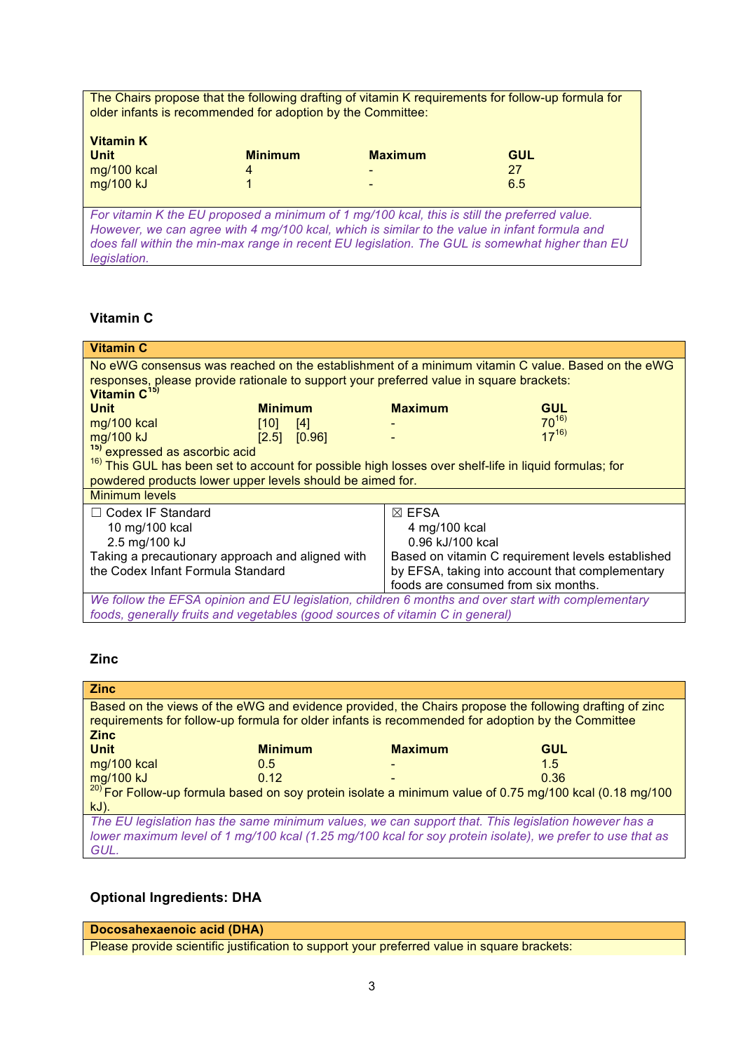The Chairs propose that the following drafting of vitamin K requirements for follow-up formula for older infants is recommended for adoption by the Committee:

| <b>Vitamin K</b><br><b>Unit</b> | <b>Minimum</b> | <b>Maximum</b>           | <b>GUL</b> |
|---------------------------------|----------------|--------------------------|------------|
| mg/100 kcal                     | 4              | $\overline{\phantom{0}}$ | 27         |
| $mg/100$ kJ                     |                | $\overline{\phantom{0}}$ | 6.5        |

*For vitamin K the EU proposed a minimum of 1 mg/100 kcal, this is still the preferred value. However, we can agree with 4 mg/100 kcal, which is similar to the value in infant formula and does fall within the min-max range in recent EU legislation. The GUL is somewhat higher than EU legislation.* 

#### **Vitamin C**

| <b>Vitamin C</b>                                                                                                 |                |                                                   |                  |            |
|------------------------------------------------------------------------------------------------------------------|----------------|---------------------------------------------------|------------------|------------|
| No eWG consensus was reached on the establishment of a minimum vitamin C value. Based on the eWG                 |                |                                                   |                  |            |
| responses, please provide rationale to support your preferred value in square brackets:                          |                |                                                   |                  |            |
| Vitamin C <sup>15)</sup>                                                                                         |                |                                                   |                  |            |
| <b>Unit</b>                                                                                                      | <b>Minimum</b> |                                                   | <b>Maximum</b>   | <b>GUL</b> |
| mg/100 kcal                                                                                                      | $[10]$         | $[4]$                                             |                  | $70^{16}$  |
| mg/100 kJ                                                                                                        | [2.5]          | [0.96]                                            |                  | $17^{16}$  |
| <sup>15)</sup> expressed as ascorbic acid                                                                        |                |                                                   |                  |            |
| <sup>16)</sup> This GUL has been set to account for possible high losses over shelf-life in liquid formulas; for |                |                                                   |                  |            |
| powdered products lower upper levels should be aimed for.                                                        |                |                                                   |                  |            |
| <b>Minimum levels</b>                                                                                            |                |                                                   |                  |            |
| $\Box$ Codex IF Standard                                                                                         |                |                                                   | $\boxtimes$ EFSA |            |
| 10 mg/100 kcal                                                                                                   |                | 4 mg/100 kcal                                     |                  |            |
| 2.5 mg/100 kJ                                                                                                    |                | 0.96 kJ/100 kcal                                  |                  |            |
| Taking a precautionary approach and aligned with                                                                 |                | Based on vitamin C requirement levels established |                  |            |
| the Codex Infant Formula Standard                                                                                |                | by EFSA, taking into account that complementary   |                  |            |
|                                                                                                                  |                | foods are consumed from six months.               |                  |            |
| We follow the EFSA opinion and EU legislation, children 6 months and over start with complementary               |                |                                                   |                  |            |
| foods, generally fruits and vegetables (good sources of vitamin C in general)                                    |                |                                                   |                  |            |

#### **Zinc**

| <b>Zinc</b>                                                                                                        |                |                |            |  |
|--------------------------------------------------------------------------------------------------------------------|----------------|----------------|------------|--|
| Based on the views of the eWG and evidence provided, the Chairs propose the following drafting of zinc             |                |                |            |  |
| requirements for follow-up formula for older infants is recommended for adoption by the Committee                  |                |                |            |  |
| <b>Zinc</b>                                                                                                        |                |                |            |  |
| <b>Unit</b>                                                                                                        | <b>Minimum</b> | <b>Maximum</b> | <b>GUL</b> |  |
| mg/100 kcal                                                                                                        | 0.5            |                | 1.5        |  |
| mg/100 kJ                                                                                                          | 0.12           |                | 0.36       |  |
| <sup>20)</sup> For Follow-up formula based on soy protein isolate a minimum value of 0.75 mg/100 kcal (0.18 mg/100 |                |                |            |  |
| $kJ$ ).                                                                                                            |                |                |            |  |
| The EU legislation has the same minimum values, we can support that. This legislation however has a                |                |                |            |  |
| lower maximum level of 1 mg/100 kcal (1.25 mg/100 kcal for soy protein isolate), we prefer to use that as          |                |                |            |  |
| GUL.                                                                                                               |                |                |            |  |

### **Optional Ingredients: DHA**

**Docosahexaenoic acid (DHA)**

Please provide scientific justification to support your preferred value in square brackets: